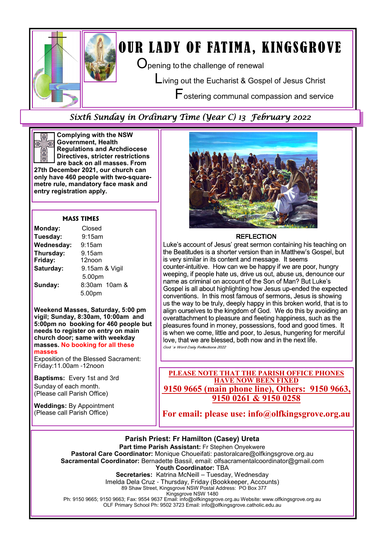

# OUR LADY OF FATIMA, KINGSGROVE

 $\mathbf O$  pening to the challenge of renewal

Living out the Eucharist & Gospel of Jesus Christ

Fostering communal compassion and service

## Sixth Sunday in Ordinary Time (Year C) 13 February 2022



Complying with the NSW Government, Health Regulations and Archdiocese Directives, stricter restrictions are back on all masses. From

27th December 2021, our church can only have 460 people with two**-**squaremetre rule, mandatory face mask and entry registration apply.

#### MASS TIMES

| Monday:              | Closed                   |
|----------------------|--------------------------|
| Tuesday:             | 9:15am                   |
| Wednesday:           | $9:15$ am                |
| Thursday:<br>Friday: | 9.15am<br>12noon         |
| Saturday:            | 9.15am & Vigil<br>5.00pm |
| Sunday:              | 8:30am 10am &<br>5.00pm  |

Weekend Masses, Saturday, 5:00 pm vigil; Sunday, 8:30am, 10:00am and 5:00pm no booking for 460 people but needs to register on entry on main church door; same with weekday masses. No booking for all these masses

Exposition of the Blessed Sacrament: Friday:11.00am -12noon

Baptisms: Every 1st and 3rd Sunday of each month. (Please call Parish Office)

Weddings: By Appointment (Please call Parish Office)



#### **REFLECTION**

Luke's account of Jesus' great sermon containing his teaching on the Beatitudes is a shorter version than in Matthew's Gospel, but is very similar in its content and message. It seems counter-intuitive. How can we be happy if we are poor, hungry weeping, if people hate us, drive us out, abuse us, denounce our name as criminal on account of the Son of Man? But Luke's Gospel is all about highlighting how Jesus up-ended the expected conventions. In this most famous of sermons, Jesus is showing us the way to be truly, deeply happy in this broken world, that is to align ourselves to the kingdom of God. We do this by avoiding an overattachment to pleasure and fleeting happiness, such as the pleasures found in money, possessions, food and good times. It is when we come, little and poor, to Jesus, hungering for merciful love, that we are blessed, both now and in the next life. God 's Word Daily Reflections 2022

PLEASE NOTE THAT THE PARISH OFFICE PHONES HAVE NOW BEEN FIXED 9150 9665 (main phone line), Others: 9150 9663, 9150 0261 & 9150 0258

For email: please use: info@olfkingsgrove.org.au



Ph: 9150 9665; 9150 9663; Fax: 9554 9637 Email: info@olfkingsgrove.org.au Website: www.olfkingsgrove.org.au OLF Primary School Ph: 9502 3723 Email: info@olfkingsgrove.catholic.edu.au